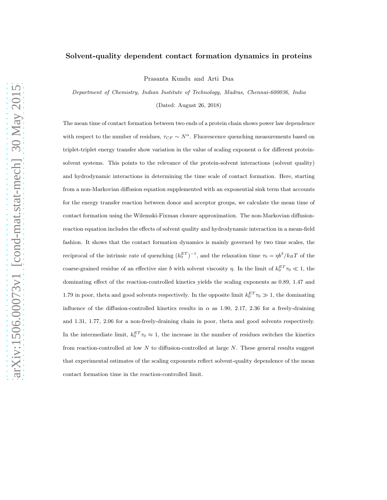# Solvent-quality dependent contact formation dynamics in proteins

Prasanta Kundu and Arti Dua

Department of Chemistry, Indian Institute of Technology, Madras, Chennai-600036, India (Dated: August 26, 2018)

The mean time of contact formation between two ends of a protein chain shows power law dependence

with respect to the number of residues,  $\tau_{CF} \sim N^{\alpha}$ . Fluorescence quenching measurements based on triplet-triplet energy transfer show variation in the value of scaling exponent  $\alpha$  for different proteinsolvent systems. This points to the relevance of the protein-solvent interactions (solvent quality) and hydrodynamic interactions in determining the time scale of contact formation. Here, starting from a non-Markovian diffusion equation supplemented with an exponential sink term that accounts for the energy transfer reaction between donor and acceptor groups, we calculate the mean time of contact formation using the Wilemski-Fixman closure approximation. The non-Markovian diffusionreaction equation includes the effects of solvent quality and hydrodynamic interaction in a mean-field fashion. It shows that the contact formation dynamics is mainly governed by two time scales, the reciprocal of the intrinsic rate of quenching  $(k_0^{ET})^{-1}$ , and the relaxation time  $\tau_0 = \eta b^3 / k_B T$  of the coarse-grained residue of an effective size b with solvent viscosity  $\eta$ . In the limit of  $k_0^{ET}\tau_0 \ll 1$ , the dominating effect of the reaction-controlled kinetics yields the scaling exponents as 0.89, 1.47 and 1.79 in poor, theta and good solvents respectively. In the opposite limit  $k_0^{ET}\tau_0 \gg 1$ , the dominating influence of the diffusion-controlled kinetics results in  $\alpha$  as 1.90, 2.17, 2.36 for a freely-draining and 1.31, 1.77, 2.06 for a non-freely-draining chain in poor, theta and good solvents respectively. In the intermediate limit,  $k_0^{ET}\tau_0 \approx 1$ , the increase in the number of residues switches the kinetics from reaction-controlled at low  $N$  to diffusion-controlled at large  $N$ . These general results suggest that experimental estimates of the scaling exponents reflect solvent-quality dependence of the mean contact formation time in the reaction-controlled limit.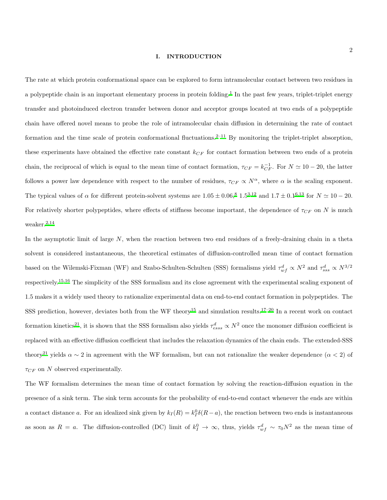# I. INTRODUCTION

The rate at which protein conformational space can be explored to form intramolecular contact between two residues in a polypeptide chain is an important elementary process in protein folding.<sup>[1](#page-18-0)</sup> In the past few years, triplet-triplet energy transfer and photoinduced electron transfer between donor and acceptor groups located at two ends of a polypeptide chain have offered novel means to probe the role of intramolecular chain diffusion in determining the rate of contact formation and the time scale of protein conformational fluctuations.<sup>[2](#page-18-1)[–11](#page-18-2)</sup> By monitoring the triplet-triplet absorption, these experiments have obtained the effective rate constant  $k_{CF}$  for contact formation between two ends of a protein chain, the reciprocal of which is equal to the mean time of contact formation,  $\tau_{CF} = k_{CF}^{-1}$ . For  $N \simeq 10 - 20$ , the latter follows a power law dependence with respect to the number of residues,  $\tau_{CF} \propto N^{\alpha}$ , where  $\alpha$  is the scaling exponent. The typical values of  $\alpha$  for different protein-solvent systems are  $1.05 \pm 0.06$  $1.05 \pm 0.06$ ,<sup>[8](#page-18-3)</sup>  $1.5^{3,12}$  $1.5^{3,12}$  $1.5^{3,12}$  $1.5^{3,12}$  and  $1.7 \pm 0.1^{6,13}$  $1.7 \pm 0.1^{6,13}$  $1.7 \pm 0.1^{6,13}$  for  $N \simeq 10 - 20$ . For relatively shorter polypeptides, where effects of stiffness become important, the dependence of  $\tau_{CF}$  on N is much weaker.[2](#page-18-1)[,14](#page-18-8)

In the asymptotic limit of large  $N$ , when the reaction between two end residues of a freely-draining chain in a theta solvent is considered instantaneous, the theoretical estimates of diffusion-controlled mean time of contact formation based on the Wilemski-Fixman (WF) and Szabo-Schulten-Schulten (SSS) formalisms yield  $\tau_{wf}^d \propto N^2$  and  $\tau_{sss}^d \propto N^{3/2}$ respectively.[15](#page-18-9)[,16](#page-18-10) The simplicity of the SSS formalism and its close agreement with the experimental scaling exponent of 1.5 makes it a widely used theory to rationalize experimental data on end-to-end contact formation in polypeptides. The SSS prediction, however, deviates both from the WF theory<sup>[15](#page-18-9)</sup> and simulation results.<sup>[17](#page-18-11)[–20](#page-18-12)</sup> In a recent work on contact formation kinetics<sup>[21](#page-18-13)</sup>, it is shown that the SSS formalism also yields  $\tau_{ess}^d \propto N^2$  once the monomer diffusion coefficient is replaced with an effective diffusion coefficient that includes the relaxation dynamics of the chain ends. The extended-SSS theory<sup>[21](#page-18-13)</sup> yields  $\alpha \sim 2$  in agreement with the WF formalism, but can not rationalize the weaker dependence  $(\alpha < 2)$  of  $\tau_{CF}$  on N observed experimentally.

The WF formalism determines the mean time of contact formation by solving the reaction-diffusion equation in the presence of a sink term. The sink term accounts for the probability of end-to-end contact whenever the ends are within a contact distance a. For an idealized sink given by  $k_I(R) = k_I^0 \delta(R - a)$ , the reaction between two ends is instantaneous as soon as  $R = a$ . The diffusion-controlled (DC) limit of  $k_I^0 \to \infty$ , thus, yields  $\tau_{wf}^d \sim \tau_0 N^2$  as the mean time of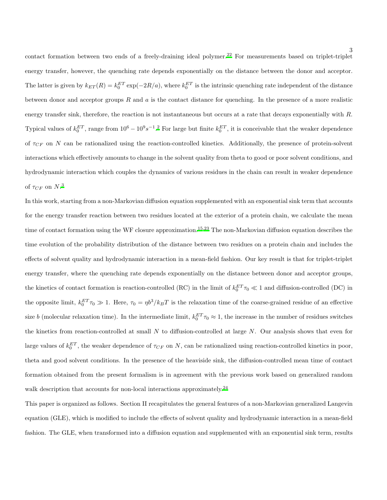contact formation between two ends of a freely-draining ideal polymer.<sup>[22](#page-18-14)</sup> For measurements based on triplet-triplet energy transfer, however, the quenching rate depends exponentially on the distance between the donor and acceptor. The latter is given by  $k_{ET}(R) = k_0^{ET} \exp(-2R/a)$ , where  $k_0^{ET}$  is the intrinsic quenching rate independent of the distance between donor and acceptor groups  $R$  and  $a$  is the contact distance for quenching. In the presence of a more realistic energy transfer sink, therefore, the reaction is not instantaneous but occurs at a rate that decays exponentially with R. Typical values of  $k_0^{ET}$ , range from  $10^6 - 10^9 s^{-1}$ .<sup>[2](#page-18-1)</sup> For large but finite  $k_0^{ET}$ , it is conceivable that the weaker dependence of  $\tau_{CF}$  on N can be rationalized using the reaction-controlled kinetics. Additionally, the presence of protein-solvent interactions which effectively amounts to change in the solvent quality from theta to good or poor solvent conditions, and hydrodynamic interaction which couples the dynamics of various residues in the chain can result in weaker dependence of  $\tau_{CF}$  on  $N$ .<sup>[3](#page-18-4)</sup>

In this work, starting from a non-Markovian diffusion equation supplemented with an exponential sink term that accounts for the energy transfer reaction between two residues located at the exterior of a protein chain, we calculate the mean time of contact formation using the WF closure approximation.<sup>[15](#page-18-9)[,23](#page-18-15)</sup> The non-Markovian diffusion equation describes the time evolution of the probability distribution of the distance between two residues on a protein chain and includes the effects of solvent quality and hydrodynamic interaction in a mean-field fashion. Our key result is that for triplet-triplet energy transfer, where the quenching rate depends exponentially on the distance between donor and acceptor groups, the kinetics of contact formation is reaction-controlled (RC) in the limit of  $k_0^{ET}\tau_0 \ll 1$  and diffusion-controlled (DC) in the opposite limit,  $k_0^{ET}\tau_0 \gg 1$ . Here,  $\tau_0 = \eta b^3 / k_B T$  is the relaxation time of the coarse-grained residue of an effective size b (molecular relaxation time). In the intermediate limit,  $k_0^{ET}\tau_0 \approx 1$ , the increase in the number of residues switches the kinetics from reaction-controlled at small  $N$  to diffusion-controlled at large  $N$ . Our analysis shows that even for large values of  $k_0^{ET}$ , the weaker dependence of  $\tau_{CF}$  on N, can be rationalized using reaction-controlled kinetics in poor, theta and good solvent conditions. In the presence of the heaviside sink, the diffusion-controlled mean time of contact formation obtained from the present formalism is in agreement with the previous work based on generalized random walk description that accounts for non-local interactions approximately.<sup>[24](#page-18-16)</sup>

This paper is organized as follows. Section II recapitulates the general features of a non-Markovian generalized Langevin equation (GLE), which is modified to include the effects of solvent quality and hydrodynamic interaction in a mean-field fashion. The GLE, when transformed into a diffusion equation and supplemented with an exponential sink term, results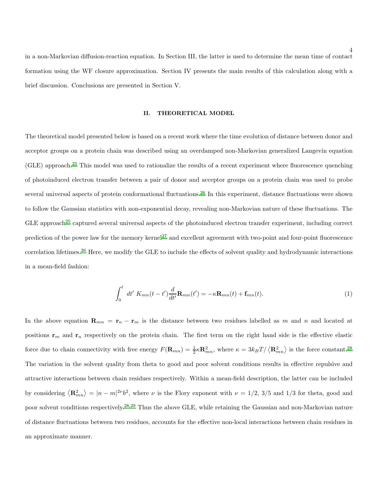in a non-Markovian diffusion-reaction equation. In Section III, the latter is used to determine the mean time of contact formation using the WF closure approximation. Section IV presents the main results of this calculation along with a brief discussion. Conclusions are presented in Section V.

# II. THEORETICAL MODEL

The theoretical model presented below is based on a recent work where the time evolution of distance between donor and acceptor groups on a protein chain was described using an overdamped non-Markovian generalized Langevin equation (GLE) approach.[25](#page-19-0) This model was used to rationalize the results of a recent experiment where fluorescence quenching of photoinduced electron transfer between a pair of donor and acceptor groups on a protein chain was used to probe several universal aspects of protein conformational fluctuations.<sup>[26](#page-19-1)</sup> In this experiment, distance fluctuations were shown to follow the Gaussian statistics with non-exponential decay, revealing non-Markovian nature of these fluctuations. The  $GLE$  approach<sup>[25](#page-19-0)</sup> captured several universal aspects of the photoinduced electron transfer experiment, including correct prediction of the power law for the memory kernel<sup>[27](#page-19-2)</sup> and excellent agreement with two-point and four-point fluorescence correlation lifetimes.[26](#page-19-1) Here, we modify the GLE to include the effects of solvent quality and hydrodynamic interactions in a mean-field fashion:

<span id="page-3-0"></span>
$$
\int_0^t dt' K_{mn}(t-t')\frac{d}{dt'}\mathbf{R}_{mn}(t') = -\kappa \mathbf{R}_{mn}(t) + \mathbf{f}_{mn}(t). \tag{1}
$$

In the above equation  $\mathbf{R}_{mn} = \mathbf{r}_n - \mathbf{r}_m$  is the distance between two residues labelled as m and n and located at positions  $r_m$  and  $r_n$  respectively on the protein chain. The first term on the right hand side is the effective elastic force due to chain connectivity with free energy  $F(\mathbf{R}_{mn}) = \frac{1}{2} \kappa \mathbf{R}_{mn}^2$ , where  $\kappa = 3k_B T / \langle \mathbf{R}_{mn}^2 \rangle$  is the force constant.<sup>[28](#page-19-3)</sup> The variation in the solvent quality from theta to good and poor solvent conditions results in effective repulsive and attractive interactions between chain residues respectively. Within a mean-field description, the latter can be included by considering  $\langle \mathbf{R}_{mn}^2 \rangle = |n - m|^{2\nu} b^2$ , where  $\nu$  is the Flory exponent with  $\nu = 1/2$ , 3/5 and 1/3 for theta, good and poor solvent conditions respectively.[28](#page-19-3)[,29](#page-19-4) Thus the above GLE, while retaining the Gaussian and non-Markovian nature of distance fluctuations between two residues, accounts for the effective non-local interactions between chain residues in an approximate manner.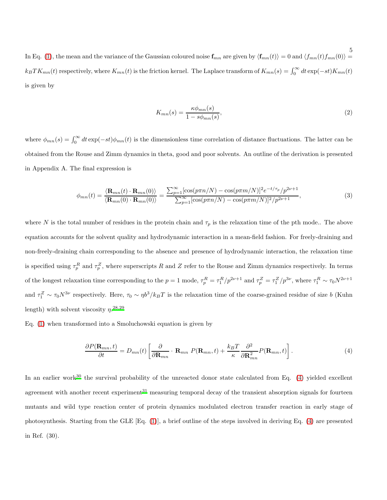$\begin{split} \text{In Eq. (1), the mean and the variance of the Gaussian coloured noise } &\mathbf{f}_{mn} \text{ are given by } \langle \mathbf{f}_{mn}(t) \rangle = 0 \text{ and } \langle f_{mn}(t) f_{mn}(0) \rangle = \frac{5}{2} \sqrt{\frac{2}{\pi}} \mathbf{f}_{mn} \end{split}$  $\begin{split} \text{In Eq. (1), the mean and the variance of the Gaussian coloured noise } &\mathbf{f}_{mn} \text{ are given by } \langle \mathbf{f}_{mn}(t) \rangle = 0 \text{ and } \langle f_{mn}(t) f_{mn}(0) \rangle = \frac{5}{2} \sqrt{\frac{2}{\pi}} \mathbf{f}_{mn} \end{split}$  $\begin{split} \text{In Eq. (1), the mean and the variance of the Gaussian coloured noise } &\mathbf{f}_{mn} \text{ are given by } \langle \mathbf{f}_{mn}(t) \rangle = 0 \text{ and } \langle f_{mn}(t) f_{mn}(0) \rangle = \frac{5}{2} \sqrt{\frac{2}{\pi}} \mathbf{f}_{mn} \end{split}$  $k_B T K_{mn}(t)$  respectively, where  $K_{mn}(t)$  is the friction kernel. The Laplace transform of  $K_{mn}(s) = \int_0^\infty dt \exp(-st) K_{mn}(t)$ is given by

$$
K_{mn}(s) = \frac{\kappa \phi_{mn}(s)}{1 - s\phi_{mn}(s)},\tag{2}
$$

where  $\phi_{mn}(s) = \int_0^\infty dt \exp(-st)\phi_{mn}(t)$  is the dimensionless time correlation of distance fluctuations. The latter can be obtained from the Rouse and Zimm dynamics in theta, good and poor solvents. An outline of the derivation is presented in Appendix A. The final expression is

<span id="page-4-1"></span>
$$
\phi_{mn}(t) = \frac{\langle \mathbf{R}_{mn}(t) \cdot \mathbf{R}_{mn}(0) \rangle}{\langle \mathbf{R}_{mn}(0) \cdot \mathbf{R}_{mn}(0) \rangle} = \frac{\sum_{p=1}^{\infty} [\cos(p\pi n/N) - \cos(p\pi m/N)]^2 e^{-t/\tau_p} / p^{2\nu + 1}}{\sum_{p=1}^{\infty} [\cos(p\pi n/N) - \cos(p\pi m/N)]^2 / p^{2\nu + 1}},
$$
\n(3)

where N is the total number of residues in the protein chain and  $\tau_p$  is the relaxation time of the pth mode.. The above equation accounts for the solvent quality and hydrodynamic interaction in a mean-field fashion. For freely-draining and non-freely-draining chain corresponding to the absence and presence of hydrodynamic interaction, the relaxation time is specified using  $\tau_p^R$  and  $\tau_p^Z$ , where superscripts R and Z refer to the Rouse and Zimm dynamics respectively. In terms of the longest relaxation time corresponding to the  $p=1$  mode,  $\tau_p^R = \tau_1^R/p^{2\nu+1}$  and  $\tau_p^Z = \tau_1^Z/p^{3\nu}$ , where  $\tau_1^R \sim \tau_0 N^{2\nu+1}$ and  $\tau_1^Z \sim \tau_0 N^{3\nu}$  respectively. Here,  $\tau_0 \sim \eta b^3 / k_B T$  is the relaxation time of the coarse-grained residue of size b (Kuhn length) with solvent viscosity  $\eta$ <sup>[28](#page-19-3)[,29](#page-19-4)</sup>

Eq. [\(1\)](#page-3-0) when transformed into a Smoluchowski equation is given by

<span id="page-4-0"></span>
$$
\frac{\partial P(\mathbf{R}_{mn},t)}{\partial t} = D_{mn}(t) \left[ \frac{\partial}{\partial \mathbf{R}_{mn}} \cdot \mathbf{R}_{mn} P(\mathbf{R}_{mn},t) + \frac{k_B T}{\kappa} \frac{\partial^2}{\partial \mathbf{R}_{mn}^2} P(\mathbf{R}_{mn},t) \right].
$$
\n(4)

In an earlier work<sup>[30](#page-19-5)</sup> the survival probability of the unreacted donor state calculated from Eq.  $(4)$  yielded excellent agreement with another recent experiment $31$  measuring temporal decay of the transient absorption signals for fourteen mutants and wild type reaction center of protein dynamics modulated electron transfer reaction in early stage of photosynthesis. Starting from the GLE [Eq. [\(1\)](#page-3-0)], a brief outline of the steps involved in deriving Eq. [\(4\)](#page-4-0) are presented in Ref. (30).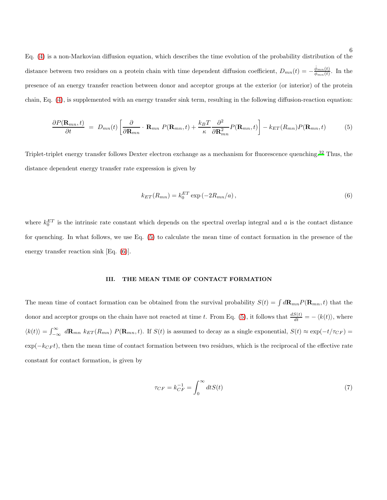Eq. [\(4\)](#page-4-0) is a non-Markovian diffusion equation, which describes the time evolution of the probability distribution of the distance between two residues on a protein chain with time dependent diffusion coefficient,  $D_{mn}(t) = -\frac{\dot{\phi}_{mn}(t)}{\phi_{mn}(t)}$  $\frac{\varphi_{mn}(t)}{\varphi_{mn}(t)}$ . In the presence of an energy transfer reaction between donor and acceptor groups at the exterior (or interior) of the protein chain, Eq. [\(4\)](#page-4-0), is supplemented with an energy transfer sink term, resulting in the following diffusion-reaction equation:

<span id="page-5-0"></span>
$$
\frac{\partial P(\mathbf{R}_{mn},t)}{\partial t} = D_{mn}(t) \left[ \frac{\partial}{\partial \mathbf{R}_{mn}} \cdot \mathbf{R}_{mn} P(\mathbf{R}_{mn},t) + \frac{k_B T}{\kappa} \frac{\partial^2}{\partial \mathbf{R}_{mn}^2} P(\mathbf{R}_{mn},t) \right] - k_{ET}(R_{mn}) P(\mathbf{R}_{mn},t) \tag{5}
$$

Triplet-triplet energy transfer follows Dexter electron exchange as a mechanism for fluorescence quenching.[32](#page-19-7) Thus, the distance dependent energy transfer rate expression is given by

<span id="page-5-1"></span>
$$
k_{ET}(R_{mn}) = k_0^{ET} \exp\left(-2R_{mn}/a\right),\tag{6}
$$

where  $k_0^{ET}$  is the intrinsic rate constant which depends on the spectral overlap integral and a is the contact distance for quenching. In what follows, we use Eq. [\(5\)](#page-5-0) to calculate the mean time of contact formation in the presence of the energy transfer reaction sink [Eq. [\(6\)](#page-5-1)].

# III. THE MEAN TIME OF CONTACT FORMATION

The mean time of contact formation can be obtained from the survival probability  $S(t) = \int d\mathbf{R}_{mn} P(\mathbf{R}_{mn}, t)$  that the donor and acceptor groups on the chain have not reacted at time t. From Eq. [\(5\)](#page-5-0), it follows that  $\frac{dS(t)}{dt} = -\langle k(t) \rangle$ , where  $\langle k(t) \rangle = \int_{-\infty}^{\infty} d\mathbf{R}_{mn} k_{ET}(R_{mn}) P(\mathbf{R}_{mn}, t)$ . If  $S(t)$  is assumed to decay as a single exponential,  $S(t) \approx \exp(-t/\tau_{CF})$  $\exp(-k_{CF}t)$ , then the mean time of contact formation between two residues, which is the reciprocal of the effective rate constant for contact formation, is given by

$$
\tau_{CF} = k_{CF}^{-1} = \int_0^\infty dt S(t) \tag{7}
$$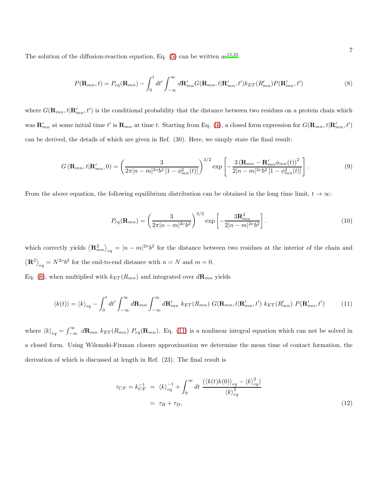The solution of the diffusion-reaction equation, Eq.  $(5)$  can be written as<sup>[15](#page-18-9)[,23](#page-18-15)</sup>

<span id="page-6-0"></span>
$$
P(\mathbf{R}_{mn},t) = P_{eq}(\mathbf{R}_{mn}) - \int_0^t dt' \int_{-\infty}^{\infty} d\mathbf{R}'_{mn} G(\mathbf{R}_{mn},t|\mathbf{R}'_{mn},t') k_{ET}(R'_{mn}) P(\mathbf{R}'_{mn},t')
$$
(8)

where  $G(\mathbf{R}_{mn}, t | \mathbf{R}'_{mn}, t')$  is the conditional probability that the distance between two residues on a protein chain which was  $\mathbf{R}'_{mn}$  at some initial time t' is  $\mathbf{R}_{mn}$  at time t. Starting from Eq. [\(4\)](#page-4-0), a closed form expression for  $G(\mathbf{R}_{mn}, t | \mathbf{R}'_{mn}, t')$ can be derived, the details of which are given in Ref. (30). Here, we simply state the final result:

$$
G\left(\mathbf{R}_{mn},t|\mathbf{R}_{mn}',0\right) = \left(\frac{3}{2\pi|n-m|^{2\nu}b^2\left[1-\phi_{mn}^2(t)\right]}\right)^{3/2} \exp\left[-\frac{3\left(\mathbf{R}_{mn} - \mathbf{R}_{mn}'\phi_{mn}(t)\right)^2}{2|n-m|^{2\nu}b^2\left[1-\phi_{mn}^2(t)\right]}\right].
$$
\n(9)

From the above equation, the following equilibrium distribution can be obtained in the long time limit,  $t \to \infty$ :

<span id="page-6-3"></span>
$$
P_{eq}(\mathbf{R}_{mn}) = \left(\frac{3}{2\pi |n - m|^{2\nu} b^2}\right)^{3/2} \exp\left[-\frac{3\mathbf{R}_{mn}^2}{2|n - m|^{2\nu} b^2}\right].
$$
 (10)

which correctly yields  $\langle \mathbf{R}_{mn}^2 \rangle_{eq} = |n - m|^{2\nu} b^2$  for the distance between two residues at the interior of the chain and  $\langle \mathbf{R}^2 \rangle_{eq} = N^{2\nu} b^2$  for the end-to-end distance with  $n = N$  and  $m = 0$ .

Eq. [\(8\)](#page-6-0), when multiplied with  $k_{ET}(R_{mn})$  and integrated over  $d\mathbf{R}_{mn}$  yields

<span id="page-6-1"></span>
$$
\langle k(t) \rangle = \langle k \rangle_{eq} - \int_0^t dt' \int_{-\infty}^{\infty} d\mathbf{R}_{mn} \int_{-\infty}^{\infty} d\mathbf{R}_{mn}' k_{ET}(R_{mn}) G(\mathbf{R}_{mn}, t | \mathbf{R}_{mn}', t') k_{ET}(R_{mn}') P(\mathbf{R}_{mn}', t') \tag{11}
$$

where  $\langle k \rangle_{eq} = \int_{-\infty}^{\infty} d\mathbf{R}_{mn} k_{ET} (R_{mn}) P_{eq}(\mathbf{R}_{mn})$ . Eq. [\(11\)](#page-6-1) is a nonlinear integral equation which can not be solved in a closed form. Using Wilemski-Fixman closure approximation we determine the mean time of contact formation, the derivation of which is discussed at length in Ref. (23). The final result is

<span id="page-6-2"></span>
$$
\tau_{CF} = k_{CF}^{-1} = \langle k \rangle_{eq}^{-1} + \int_0^\infty dt \, \frac{(\langle k(t)k(0) \rangle_{eq} - \langle k \rangle_{eq}^2)}{\langle k \rangle_{eq}^2} = \tau_R + \tau_D,
$$
\n(12)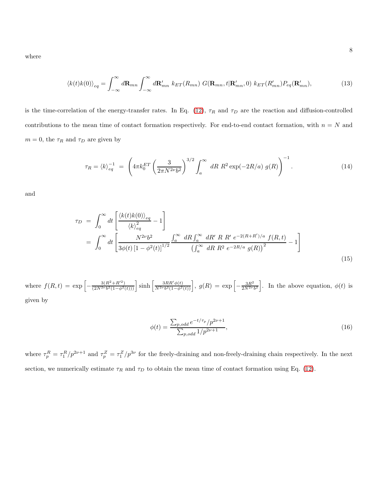where

$$
\langle k(t)k(0)\rangle_{eq} = \int_{-\infty}^{\infty} d\mathbf{R}_{mn} \int_{-\infty}^{\infty} d\mathbf{R}'_{mn} \ k_{ET}(R_{mn}) \ G(\mathbf{R}_{mn}, t | \mathbf{R}'_{mn}, 0) \ k_{ET}(R'_{mn}) P_{eq}(\mathbf{R}'_{mn}), \tag{13}
$$

is the time-correlation of the energy-transfer rates. In Eq. [\(12\)](#page-6-2),  $\tau_R$  and  $\tau_D$  are the reaction and diffusion-controlled contributions to the mean time of contact formation respectively. For end-to-end contact formation, with  $n = N$  and  $m = 0$ , the  $\tau_R$  and  $\tau_D$  are given by

<span id="page-7-0"></span>
$$
\tau_R = \langle k \rangle_{eq}^{-1} = \left( 4\pi k_0^{ET} \left( \frac{3}{2\pi N^{2\nu} b^2} \right)^{3/2} \int_a^{\infty} dR \ R^2 \exp(-2R/a) \ g(R) \right)^{-1} . \tag{14}
$$

and

<span id="page-7-1"></span>
$$
\tau_D = \int_0^\infty dt \left[ \frac{\langle k(t)k(0)\rangle_{eq}}{\langle k\rangle_{eq}^2} - 1 \right]
$$
  
= 
$$
\int_0^\infty dt \left[ \frac{N^{2\nu}b^2}{3\phi(t)\left[1 - \phi^2(t)\right]^{1/2}} \frac{\int_a^\infty dR \int_a^\infty dR'R \, R' \, e^{-2(R+R')/a} \, f(R,t)}{\left(\int_a^\infty dR \, R^2 \, e^{-2R/a} \, g(R)\right)^2} - 1 \right]
$$
(15)

where  $f(R, t) = \exp \left[-\frac{3(R^2 + R'^2)}{(2N^{2\nu}b^2(1-\phi^2(t)))}\right] \sinh \left[\frac{3RR'\phi(t)}{N^{2\nu}b^2(1-\phi^2)}\right]$  $\frac{3RR'\phi(t)}{N^{2\nu}b^2(1-\phi^2(t))}$ ,  $g(R) = \exp \left[-\frac{3R^2}{2N^{2\nu}}\right]$  $\frac{3R^2}{2N^{2\nu}b^2}$ . In the above equation,  $\phi(t)$  is given by

$$
\phi(t) = \frac{\sum_{p,odd} e^{-t/\tau_p} / p^{2\nu + 1}}{\sum_{p,odd} 1 / p^{2\nu + 1}},\tag{16}
$$

where  $\tau_p^R = \tau_1^R/p^{2\nu+1}$  and  $\tau_p^Z = \tau_1^Z/p^{3\nu}$  for the freely-draining and non-freely-draining chain respectively. In the next section, we numerically estimate  $\tau_R$  and  $\tau_D$  to obtain the mean time of contact formation using Eq. [\(12\)](#page-6-2).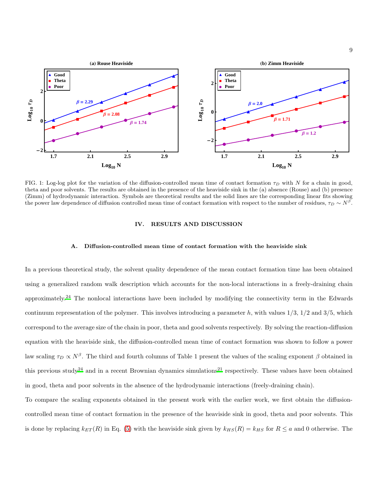

FIG. 1: Log-log plot for the variation of the diffusion-controlled mean time of contact formation  $\tau_D$  with N for a chain in good, theta and poor solvents. The results are obtained in the presence of the heaviside sink in the (a) absence (Rouse) and (b) presence (Zimm) of hydrodynamic interaction. Symbols are theoretical results and the solid lines are the corresponding linear fits showing the power law dependence of diffusion controlled mean time of contact formation with respect to the number of residues,  $\tau_D \sim N^{\beta}$ .

# IV. RESULTS AND DISCUSSION

#### A. Diffusion-controlled mean time of contact formation with the heaviside sink

In a previous theoretical study, the solvent quality dependence of the mean contact formation time has been obtained using a generalized random walk description which accounts for the non-local interactions in a freely-draining chain approximately.[24](#page-18-16) The nonlocal interactions have been included by modifying the connectivity term in the Edwards continuum representation of the polymer. This involves introducing a parameter h, with values  $1/3$ ,  $1/2$  and  $3/5$ , which correspond to the average size of the chain in poor, theta and good solvents respectively. By solving the reaction-diffusion equation with the heaviside sink, the diffusion-controlled mean time of contact formation was shown to follow a power law scaling  $\tau_D \propto N^{\beta}$ . The third and fourth columns of Table 1 present the values of the scaling exponent  $\beta$  obtained in this previous study<sup>[24](#page-18-16)</sup> and in a recent Brownian dynamics simulations<sup>[21](#page-18-13)</sup> respectively. These values have been obtained in good, theta and poor solvents in the absence of the hydrodynamic interactions (freely-draining chain).

To compare the scaling exponents obtained in the present work with the earlier work, we first obtain the diffusioncontrolled mean time of contact formation in the presence of the heaviside sink in good, theta and poor solvents. This is done by replacing  $k_{ET}(R)$  in Eq. [\(5\)](#page-5-0) with the heaviside sink given by  $k_{HS}(R) = k_{HS}$  for  $R \le a$  and 0 otherwise. The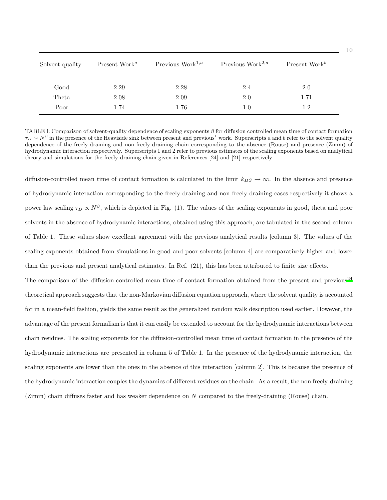| Solvent quality | Present Work <sup><math>a</math></sup> | Previous Work <sup>1,<math>a</math></sup> | Previous Work <sup>2,<math>a</math></sup> | Present Work <sup>b</sup> |
|-----------------|----------------------------------------|-------------------------------------------|-------------------------------------------|---------------------------|
| Good            | 2.29                                   | 2.28                                      | 2.4                                       | 2.0                       |
| Theta           | 2.08                                   | 2.09                                      | 2.0                                       | 1.71                      |
| Poor            | 1.74                                   | 1.76                                      | $1.0\,$                                   | 1.2                       |

TABLE I: Comparison of solvent-quality dependence of scaling exponents  $\beta$  for diffusion controlled mean time of contact formation  $\tau_D \sim N^{\beta}$  in the presence of the Heaviside sink between present and previous<sup>1</sup> work. Superscripts a and b refer to the solvent quality dependence of the freely-draining and non-freely-draining chain corresponding to the absence (Rouse) and presence (Zimm) of hydrodynamic interaction respectively. Superscripts 1 and 2 refer to previous estimates of the scaling exponents based on analytical theory and simulations for the freely-draining chain given in References [24] and [21] respectively.

diffusion-controlled mean time of contact formation is calculated in the limit  $k_{HS} \rightarrow \infty$ . In the absence and presence of hydrodynamic interaction corresponding to the freely-draining and non freely-draining cases respectively it shows a power law scaling  $\tau_D \propto N^{\beta}$ , which is depicted in Fig. (1). The values of the scaling exponents in good, theta and poor solvents in the absence of hydrodynamic interactions, obtained using this approach, are tabulated in the second column of Table 1. These values show excellent agreement with the previous analytical results [column 3]. The values of the scaling exponents obtained from simulations in good and poor solvents [column 4] are comparatively higher and lower than the previous and present analytical estimates. In Ref. (21), this has been attributed to finite size effects.

The comparison of the diffusion-controlled mean time of contact formation obtained from the present and previous<sup>[24](#page-18-16)</sup> theoretical approach suggests that the non-Markovian diffusion equation approach, where the solvent quality is accounted for in a mean-field fashion, yields the same result as the generalized random walk description used earlier. However, the advantage of the present formalism is that it can easily be extended to account for the hydrodynamic interactions between chain residues. The scaling exponents for the diffusion-controlled mean time of contact formation in the presence of the hydrodynamic interactions are presented in column 5 of Table 1. In the presence of the hydrodynamic interaction, the scaling exponents are lower than the ones in the absence of this interaction [column 2]. This is because the presence of the hydrodynamic interaction couples the dynamics of different residues on the chain. As a result, the non freely-draining (Zimm) chain diffuses faster and has weaker dependence on N compared to the freely-draining (Rouse) chain.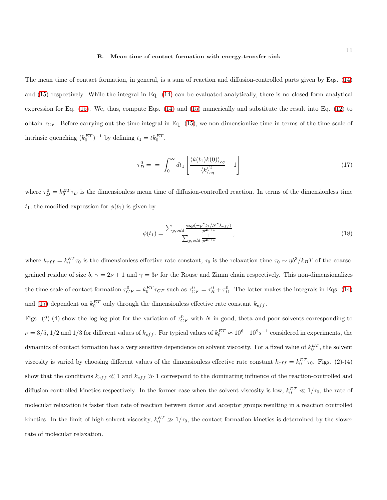#### B. Mean time of contact formation with energy-transfer sink

The mean time of contact formation, in general, is a sum of reaction and diffusion-controlled parts given by Eqs. [\(14\)](#page-7-0) and [\(15\)](#page-7-1) respectively. While the integral in Eq. [\(14\)](#page-7-0) can be evaluated analytically, there is no closed form analytical expression for Eq. [\(15\)](#page-7-1). We, thus, compute Eqs. [\(14\)](#page-7-0) and [\(15\)](#page-7-1) numerically and substitute the result into Eq. [\(12\)](#page-6-2) to obtain  $\tau_{CF}$ . Before carrying out the time-integral in Eq. [\(15\)](#page-7-1), we non-dimensionlize time in terms of the time scale of intrinsic quenching  $(k_0^{ET})^{-1}$  by defining  $t_1 = tk_0^{ET}$ .

<span id="page-10-0"></span>
$$
\tau_D^0 = \int_0^\infty dt_1 \left[ \frac{\langle k(t_1)k(0) \rangle_{eq}}{\langle k \rangle_{eq}^2} - 1 \right] \tag{17}
$$

where  $\tau_D^0 = k_0^{ET} \tau_D$  is the dimensionless mean time of diffusion-controlled reaction. In terms of the dimensionless time  $t_1$ , the modified expression for  $\phi(t_1)$  is given by

$$
\phi(t_1) = \frac{\sum_{p,odd} \frac{\exp(-p^{\gamma} t_1 / N^{\gamma} k_{eff})}{p^{2\nu+1}}}{\sum_{p,odd} \frac{1}{p^{2\nu+1}}},
$$
\n(18)

where  $k_{eff} = k_0^{ET} \tau_0$  is the dimensionless effective rate constant,  $\tau_0$  is the relaxation time  $\tau_0 \sim \eta b^3 / k_B T$  of the coarsegrained residue of size  $b, \gamma = 2\nu + 1$  and  $\gamma = 3\nu$  for the Rouse and Zimm chain respectively. This non-dimensionalizes the time scale of contact formation  $\tau_{CF}^0 = k_0^{ET} \tau_{CF}$  such as  $\tau_{CF}^0 = \tau_R^0 + \tau_D^0$ . The latter makes the integrals in Eqs. [\(14\)](#page-7-0) and [\(17\)](#page-10-0) dependent on  $k_0^{ET}$  only through the dimensionless effective rate constant  $k_{eff}$ .

Figs. (2)-(4) show the log-log plot for the variation of  $\tau_{CF}^0$  with N in good, theta and poor solvents corresponding to  $\nu = 3/5, 1/2$  and  $1/3$  for different values of  $k_{eff}$ . For typical values of  $k_0^{ET} \approx 10^6 - 10^9 s^{-1}$  considered in experiments, the dynamics of contact formation has a very sensitive dependence on solvent viscosity. For a fixed value of  $k_0^{ET}$ , the solvent viscosity is varied by choosing different values of the dimensionless effective rate constant  $k_{eff} = k_0^{ET} \tau_0$ . Figs. (2)-(4) show that the conditions  $k_{eff} \ll 1$  and  $k_{eff} \gg 1$  correspond to the dominating influence of the reaction-controlled and diffusion-controlled kinetics respectively. In the former case when the solvent viscosity is low,  $k_0^{ET} \ll 1/\tau_0$ , the rate of molecular relaxation is faster than rate of reaction between donor and acceptor groups resulting in a reaction controlled kinetics. In the limit of high solvent viscosity,  $k_0^{ET} \gg 1/\tau_0$ , the contact formation kinetics is determined by the slower rate of molecular relaxation.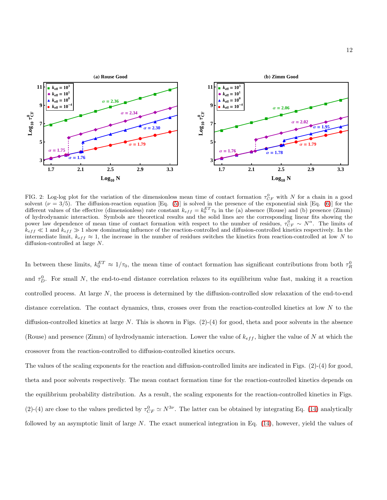

FIG. 2: Log-log plot for the variation of the dimensionless mean time of contact formation  $\tau_{CF}^0$  with N for a chain in a good solvent  $(\nu = 3/5)$ . The diffusion-reaction equation [Eq. [\(5\)](#page-5-0)] is solved in the presence of the exponential sink [Eq. [\(6\)](#page-5-1)] for the different values of the effective (dimensionless) rate constant  $k_{eff} = k_0^{ET}\tau_0$  in the (a) absence (Rouse) and (b) presence (Zimm) of hydrodynamic interaction. Symbols are theoretical results and the solid lines are the corresponding linear fits showing the power law dependence of mean time of contact formation with respect to the number of residues,  $\tau_{CF}^0 \sim N^{\alpha}$ . The limits of  $k_{eff} \ll 1$  and  $k_{eff} \gg 1$  show dominating influence of the reaction-controlled and diffusion-controlled kinetics respectively. In the intermediate limit,  $k_{eff} \approx 1$ , the increase in the number of residues switches the kinetics from reaction-controlled at low N to diffusion-controlled at large N.

In between these limits,  $k_0^{ET} \approx 1/\tau_0$ , the mean time of contact formation has significant contributions from both  $\tau_R^0$ and  $\tau_D^0$ . For small N, the end-to-end distance correlation relaxes to its equilibrium value fast, making it a reaction controlled process. At large N, the process is determined by the diffusion-controlled slow relaxation of the end-to-end distance correlation. The contact dynamics, thus, crosses over from the reaction-controlled kinetics at low  $N$  to the diffusion-controlled kinetics at large N. This is shown in Figs.  $(2)-(4)$  for good, theta and poor solvents in the absence (Rouse) and presence (Zimm) of hydrodynamic interaction. Lower the value of  $k_{eff}$ , higher the value of N at which the crossover from the reaction-controlled to diffusion-controlled kinetics occurs.

The values of the scaling exponents for the reaction and diffusion-controlled limits are indicated in Figs. (2)-(4) for good, theta and poor solvents respectively. The mean contact formation time for the reaction-controlled kinetics depends on the equilibrium probability distribution. As a result, the scaling exponents for the reaction-controlled kinetics in Figs. (2)-(4) are close to the values predicted by  $\tau_{CF}^0 \simeq N^{3\nu}$ . The latter can be obtained by integrating Eq. [\(14\)](#page-7-0) analytically followed by an asymptotic limit of large  $N$ . The exact numerical integration in Eq.  $(14)$ , however, yield the values of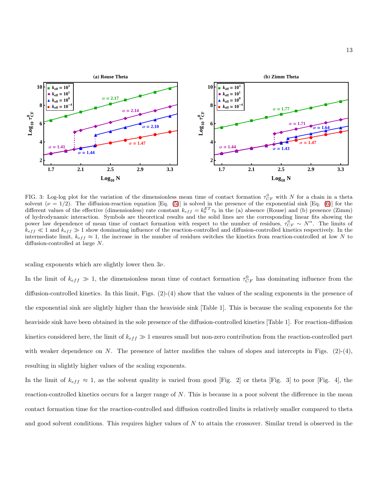

FIG. 3: Log-log plot for the variation of the dimensionless mean time of contact formation  $\tau_{CF}^0$  with N for a chain in a theta solvent  $(\nu = 1/2)$ . The diffusion-reaction equation [Eq. [\(5\)](#page-5-0)] is solved in the presence of the exponential sink [Eq. [\(6\)](#page-5-1)] for the different values of the effective (dimensionless) rate constant  $k_{eff} = k_0^{ET}\tau_0$  in the (a) absence (Rouse) and (b) presence (Zimm) of hydrodynamic interaction. Symbols are theoretical results and the solid lines are the corresponding linear fits showing the power law dependence of mean time of contact formation with respect to the number of residues,  $\tau_{CF}^0 \sim N^{\alpha}$ . The limits of  $k_{eff} \ll 1$  and  $k_{eff} \gg 1$  show dominating influence of the reaction-controlled and diffusion-controlled kinetics respectively. In the intermediate limit,  $k_{eff} \approx 1$ , the increase in the number of residues switches the kinetics from reaction-controlled at low N to diffusion-controlled at large N.

scaling exponents which are slightly lower then  $3\nu$ .

In the limit of  $k_{eff} \gg 1$ , the dimensionless mean time of contact formation  $\tau_{CF}^0$  has dominating influence from the diffusion-controlled kinetics. In this limit, Figs. (2)-(4) show that the values of the scaling exponents in the presence of the exponential sink are slightly higher than the heaviside sink [Table 1]. This is because the scaling exponents for the heaviside sink have been obtained in the sole presence of the diffusion-controlled kinetics [Table 1]. For reaction-diffusion kinetics considered here, the limit of  $k_{eff} \gg 1$  ensures small but non-zero contribution from the reaction-controlled part with weaker dependence on N. The presence of latter modifies the values of slopes and intercepts in Figs.  $(2)-(4)$ , resulting in slightly higher values of the scaling exponents.

In the limit of  $k_{eff} \approx 1$ , as the solvent quality is varied from good [Fig. 2] or theta [Fig. 3] to poor [Fig. 4], the reaction-controlled kinetics occurs for a larger range of N. This is because in a poor solvent the difference in the mean contact formation time for the reaction-controlled and diffusion controlled limits is relatively smaller compared to theta and good solvent conditions. This requires higher values of  $N$  to attain the crossover. Similar trend is observed in the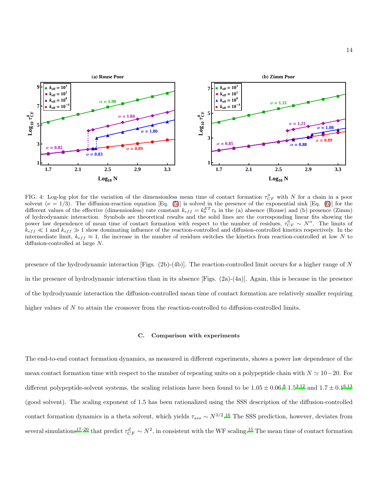

FIG. 4: Log-log plot for the variation of the dimensionless mean time of contact formation  $\tau^0_{CF}$  with N for a chain in a poor solvent  $(\nu = 1/3)$ . The diffusion-reaction equation [Eq. [\(5\)](#page-5-0)] is solved in the presence of the exponential sink [Eq. [\(6\)](#page-5-1)] for the different values of the effective (dimensionless) rate constant  $k_{eff} = k_0^{ET}\tau_0$  in the (a) absence (Rouse) and (b) presence (Zimm) of hydrodynamic interaction. Symbols are theoretical results and the solid lines are the corresponding linear fits showing the power law dependence of mean time of contact formation with respect to the number of residues,  $\tau_{CF}^0 \sim N^{\alpha}$ . The limits of  $k_{eff} \ll 1$  and  $k_{eff} \gg 1$  show dominating influence of the reaction-controlled and diffusion-controlled kinetics respectively. In the intermediate limit,  $k_{eff} \approx 1$ , the increase in the number of residues switches the kinetics from reaction-controlled at low N to diffusion-controlled at large N.

presence of the hydrodynamic interaction  $[Figs. (2b)-(4b)]$ . The reaction-controlled limit occurs for a higher range of N in the presence of hydrodynamic interaction than in its absence  $[Figs. (2a)-(4a)]$ . Again, this is because in the presence of the hydrodynamic interaction the diffusion-controlled mean time of contact formation are relatively smaller requiring higher values of N to attain the crossover from the reaction-controlled to diffusion-controlled limits.

# C. Comparison with experiments

The end-to-end contact formation dynamics, as measured in different experiments, shows a power law dependence of the mean contact formation time with respect to the number of repeating units on a polypeptide chain with  $N \simeq 10-20$ . For different polypeptide-solvent systems, the scaling relations have been found to be  $1.05 \pm 0.06$  $1.05 \pm 0.06$ ,<sup>[8](#page-18-3)</sup>  $1.5^{3,12}$  $1.5^{3,12}$  $1.5^{3,12}$  $1.5^{3,12}$  and  $1.7 \pm 0.1^{6,13}$  $1.7 \pm 0.1^{6,13}$  $1.7 \pm 0.1^{6,13}$ (good solvent). The scaling exponent of 1.5 has been rationalized using the SSS description of the diffusion-controlled contact formation dynamics in a theta solvent, which yields  $\tau_{sss} \sim N^{3/2}$ .<sup>[16](#page-18-10)</sup> The SSS prediction, however, deviates from several simulations<sup>[17](#page-18-11)[–20](#page-18-12)</sup> that predict  $\tau_{CF}^d \sim N^2$ , in consistent with the WF scaling.<sup>[15](#page-18-9)</sup> The mean time of contact formation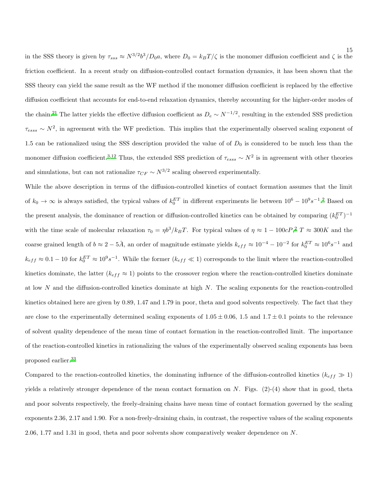in the SSS theory is given by  $\tau_{sss} \approx N^{3/2} b^3/D_0 a$ , where  $D_0 = k_B T/\zeta$  is the monomer diffusion coefficient and  $\zeta$  is the friction coefficient. In a recent study on diffusion-controlled contact formation dynamics, it has been shown that the SSS theory can yield the same result as the WF method if the monomer diffusion coefficient is replaced by the effective diffusion coefficient that accounts for end-to-end relaxation dynamics, thereby accounting for the higher-order modes of the chain.<sup>[21](#page-18-13)</sup> The latter yields the effective diffusion coefficient as  $D_e \sim N^{-1/2}$ , resulting in the extended SSS prediction  $\tau_{ess} \sim N^2$ , in agreement with the WF prediction. This implies that the experimentally observed scaling exponent of 1.5 can be rationalized using the SSS description provided the value of of  $D_0$  is considered to be much less than the monomer diffusion coefficient.<sup>[3](#page-18-4)[,12](#page-18-5)</sup> Thus, the extended SSS prediction of  $\tau_{ess} \sim N^2$  is in agreement with other theories and simulations, but can not rationalize  $\tau_{CF} \sim N^{3/2}$  scaling observed experimentally.

While the above description in terms of the diffusion-controlled kinetics of contact formation assumes that the limit of  $k_0 \to \infty$  is always satisfied, the typical values of  $k_0^{ET}$  in different experiments lie between  $10^6 - 10^9 s^{-1}$ .<sup>[2](#page-18-1)</sup> Based on the present analysis, the dominance of reaction or diffusion-controlled kinetics can be obtained by comparing  $(k_0^{ET})^{-1}$ with the time scale of molecular relaxation  $\tau_0 = \eta b^3 / k_B T$ . For typical values of  $\eta \approx 1 - 100cP$ ,<sup>[2](#page-18-1)</sup> T  $\approx 300K$  and the coarse grained length of  $b \approx 2-5\AA$ , an order of magnitude estimate yields  $k_{eff} \approx 10^{-4} - 10^{-2}$  for  $k_0^{ET} \approx 10^6 s^{-1}$  and  $k_{eff} \approx 0.1-10$  for  $k_0^{ET} \approx 10^9 s^{-1}$ . While the former  $(k_{eff} \ll 1)$  corresponds to the limit where the reaction-controlled kinetics dominate, the latter ( $k_{eff} \approx 1$ ) points to the crossover region where the reaction-controlled kinetics dominate at low  $N$  and the diffusion-controlled kinetics dominate at high  $N$ . The scaling exponents for the reaction-controlled kinetics obtained here are given by 0.89, 1.47 and 1.79 in poor, theta and good solvents respectively. The fact that they are close to the experimentally determined scaling exponents of  $1.05 \pm 0.06$ , 1.5 and  $1.7 \pm 0.1$  points to the relevance of solvent quality dependence of the mean time of contact formation in the reaction-controlled limit. The importance of the reaction-controlled kinetics in rationalizing the values of the experimentally observed scaling exponents has been proposed earlier.[33](#page-19-8)

Compared to the reaction-controlled kinetics, the dominating influence of the diffusion-controlled kinetics  $(k_{eff} \gg 1)$ yields a relatively stronger dependence of the mean contact formation on  $N$ . Figs. (2)-(4) show that in good, theta and poor solvents respectively, the freely-draining chains have mean time of contact formation governed by the scaling exponents 2.36, 2.17 and 1.90. For a non-freely-draining chain, in contrast, the respective values of the scaling exponents 2.06, 1.77 and 1.31 in good, theta and poor solvents show comparatively weaker dependence on N.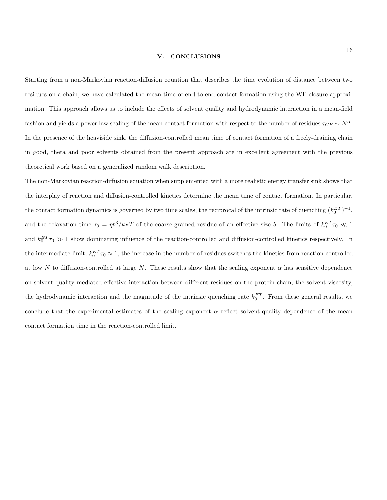# V. CONCLUSIONS

Starting from a non-Markovian reaction-diffusion equation that describes the time evolution of distance between two residues on a chain, we have calculated the mean time of end-to-end contact formation using the WF closure approximation. This approach allows us to include the effects of solvent quality and hydrodynamic interaction in a mean-field fashion and yields a power law scaling of the mean contact formation with respect to the number of residues  $\tau_{CF} \sim N^{\alpha}$ . In the presence of the heaviside sink, the diffusion-controlled mean time of contact formation of a freely-draining chain in good, theta and poor solvents obtained from the present approach are in excellent agreement with the previous theoretical work based on a generalized random walk description.

The non-Markovian reaction-diffusion equation when supplemented with a more realistic energy transfer sink shows that the interplay of reaction and diffusion-controlled kinetics determine the mean time of contact formation. In particular, the contact formation dynamics is governed by two time scales, the reciprocal of the intrinsic rate of quenching  $(k_0^{ET})^{-1}$ , and the relaxation time  $\tau_0 = \eta b^3 / k_B T$  of the coarse-grained residue of an effective size b. The limits of  $k_0^{ET} \tau_0 \ll 1$ and  $k_0^{ET}\tau_0 \gg 1$  show dominating influence of the reaction-controlled and diffusion-controlled kinetics respectively. In the intermediate limit,  $k_0^{ET}\tau_0 \approx 1$ , the increase in the number of residues switches the kinetics from reaction-controlled at low N to diffusion-controlled at large N. These results show that the scaling exponent  $\alpha$  has sensitive dependence on solvent quality mediated effective interaction between different residues on the protein chain, the solvent viscosity, the hydrodynamic interaction and the magnitude of the intrinsic quenching rate  $k_0^{ET}$ . From these general results, we conclude that the experimental estimates of the scaling exponent  $\alpha$  reflect solvent-quality dependence of the mean contact formation time in the reaction-controlled limit.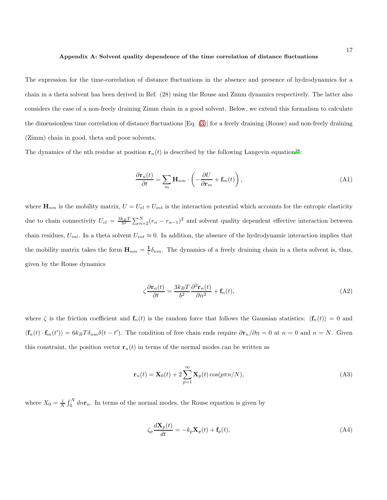#### Appendix A: Solvent quality dependence of the time correlation of distance fluctuations

The expression for the time-correlation of distance fluctuations in the absence and presence of hydrodynamics for a chain in a theta solvent has been derived in Ref. (28) using the Rouse and Zimm dynamics respectively. The latter also considers the case of a non-freely draining Zimm chain in a good solvent. Below, we extend this formalism to calculate the dimensionless time correlation of distance fluctuations [Eq. [\(3\)](#page-4-1)] for a freely draining (Rouse) and non-freely draining (Zimm) chain in good, theta and poor solvents.

The dynamics of the nth residue at position  $\mathbf{r}_n(t)$  is described by the following Langevin equation<sup>[28](#page-19-3)</sup>:

<span id="page-16-0"></span>
$$
\frac{\partial \mathbf{r}_n(t)}{\partial t} = \sum_m \mathbf{H}_{nm} \cdot \left( -\frac{\partial U}{\partial \mathbf{r}_m} + \mathbf{f}_m(t) \right),\tag{A1}
$$

where  $\mathbf{H}_{nm}$  is the mobility matrix,  $U = U_{el} + U_{int}$  is the interaction potential which accounts for the entropic elasticity due to chain connectivity  $U_{el} = \frac{3k_BT}{b^2} \sum_{n=2}^{N} (r_n - r_{n-1})^2$  and solvent quality dependent effective interaction between chain residues,  $U_{int}$ . In a theta solvent  $U_{int} \approx 0$ . In addition, the absence of the hydrodynamic interaction implies that the mobility matrix takes the form  $\mathbf{H}_{nm} = \frac{\mathbf{I}}{c}$  $\frac{1}{\zeta} \delta_{nm}$ . The dynamics of a freely draining chain in a theta solvent is, thus, given by the Rouse dynamics

$$
\zeta \frac{\partial \mathbf{r}_n(t)}{\partial t} = \frac{3k_B T}{b^2} \frac{\partial^2 \mathbf{r}_n(t)}{\partial n^2} + \mathbf{f}_n(t),\tag{A2}
$$

where  $\zeta$  is the friction coefficient and  $\mathbf{f}_n(t)$  is the random force that follows the Gaussian statistics:  $\langle \mathbf{f}_n(t) \rangle = 0$  and  $\langle \mathbf{f}_n(t) \cdot \mathbf{f}_m(t') \rangle = 6k_B T \delta_{nm} \delta(t-t')$ . The condition of free chain ends require  $\partial \mathbf{r}_n / \partial n = 0$  at  $n = 0$  and  $n = N$ . Given this constraint, the position vector  $\mathbf{r}_n(t)$  in terms of the normal modes can be written as

<span id="page-16-1"></span>
$$
\mathbf{r}_n(t) = \mathbf{X}_0(t) + 2 \sum_{p=1}^{\infty} \mathbf{X}_p(t) \cos(p\pi n/N), \tag{A3}
$$

where  $X_0 = \frac{1}{N} \int_0^N dn \mathbf{r}_n$ . In terms of the normal modes, the Rouse equation is given by

$$
\zeta_p \frac{d\mathbf{X}_p(t)}{dt} = -k_p \mathbf{X}_p(t) + \mathbf{f}_p(t),\tag{A4}
$$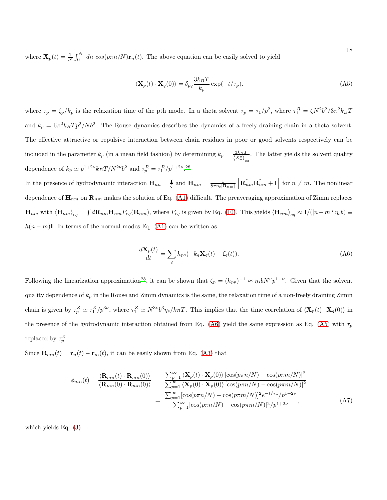where  $\mathbf{X}_p(t) = \frac{1}{N} \int_0^N dn \cos(p\pi n/N) \mathbf{r}_n(t)$ . The above equation can be easily solved to yield

<span id="page-17-1"></span>
$$
\langle \mathbf{X}_p(t) \cdot \mathbf{X}_q(0) \rangle = \delta_{pq} \frac{3k_B T}{k_p} \exp(-t/\tau_p).
$$
 (A5)

where  $\tau_p = \zeta_p / k_p$  is the relaxation time of the pth mode. In a theta solvent  $\tau_p = \tau_1/p^2$ , where  $\tau_1^R = \zeta N^2 b^2 / 3\pi^2 k_B T$ and  $k_p = 6\pi^2 k_B T p^2 / N b^2$ . The Rouse dynamics describes the dynamics of a freely-draining chain in a theta solvent. The effective attractive or repulsive interaction between chain residues in poor or good solvents respectively can be included in the parameter  $k_p$  (in a mean field fashion) by determining  $k_p = \frac{3k_B T}{\langle X_p^2 \rangle_{eq}}$ . The latter yields the solvent quality dependence of  $k_p \simeq p^{1+2\nu} k_B T/N^{2\nu} b^2$  and  $\tau_p^R = \tau_1^R/p^{1+2\nu}$ .<sup>[28](#page-19-3)</sup>

In the presence of hydrodynamic interaction  $\mathbf{H}_{nn} = \frac{\mathbf{I}}{c}$  $\frac{1}{\zeta}$  and  $\mathbf{H}_{nm} = \frac{1}{8\pi\eta_s |\mathbf{R}_{nm}|} \left[ \mathbf{R}_{nm} \hat{\mathbf{R}_{nm}} + \mathbf{I} \right]$  for  $n \neq m$ . The nonlinear dependence of  $\mathbf{H}_{nm}$  on  $\mathbf{R}_{nm}$  makes the solution of Eq. [\(A1\)](#page-16-0) difficult. The preaveraging approximation of Zimm replaces  $\mathbf{H}_{nm}$  with  $\langle \mathbf{H}_{nm} \rangle_{eq} = \int d\mathbf{R}_{nm} \mathbf{H}_{nm} P_{eq}(\mathbf{R}_{nm})$ , where  $P_{eq}$  is given by Eq. [\(10\)](#page-6-3). This yields  $\langle \mathbf{H}_{nm} \rangle_{eq} \approx \mathbf{I}/(|n-m|^{\nu} \eta_s b) \equiv$  $h(n-m)$ I. In terms of the normal modes Eq. [\(A1\)](#page-16-0) can be written as

<span id="page-17-0"></span>
$$
\frac{d\mathbf{X}_p(t)}{dt} = \sum_q h_{pq}(-k_q \mathbf{X}_q(t) + \mathbf{f}_q(t)).
$$
\n(A6)

Following the linearization approximation<sup>[28](#page-19-3)</sup>, it can be shown that  $\zeta_p = (h_{pp})^{-1} \approx \eta_s b N^{\nu} p^{1-\nu}$ . Given that the solvent quality dependence of  $k_p$  in the Rouse and Zimm dynamics is the same, the relaxation time of a non-freely draining Zimm chain is given by  $\tau_p^Z \simeq \tau_1^Z/p^{3\nu}$ , where  $\tau_1^Z \simeq N^{3\nu}b^3\eta_s/k_BT$ . This implies that the time correlation of  $\langle \mathbf{X}_p(t) \cdot \mathbf{X}_q(0) \rangle$  in the presence of the hydrodynamic interaction obtained from Eq. [\(A6\)](#page-17-0) yield the same expression as Eq. [\(A5\)](#page-17-1) with  $\tau_p$ replaced by  $\tau_p^Z$ .

Since  $\mathbf{R}_{mn}(t) = \mathbf{r}_n(t) - \mathbf{r}_m(t)$ , it can be easily shown from Eq. [\(A3\)](#page-16-1) that

$$
\phi_{mn}(t) = \frac{\langle \mathbf{R}_{mn}(t) \cdot \mathbf{R}_{mn}(0) \rangle}{\langle \mathbf{R}_{mn}(0) \cdot \mathbf{R}_{mn}(0) \rangle} = \frac{\sum_{p=1}^{\infty} \langle \mathbf{X}_p(t) \cdot \mathbf{X}_p(0) \rangle [\cos(p\pi n/N) - \cos(p\pi m/N)]^2}{\sum_{p=1}^{\infty} \langle \mathbf{X}_p(0) \cdot \mathbf{X}_p(0) \rangle [\cos(p\pi n/N) - \cos(p\pi m/N)]^2}
$$

$$
= \frac{\sum_{p=1}^{\infty} [\cos(p\pi n/N) - \cos(p\pi m/N)]^2 e^{-t/\tau_p} / p^{1+2\nu}}{\sum_{p=1}^{\infty} [\cos(p\pi n/N) - \cos(p\pi m/N)]^2 / p^{1+2\nu}}, \tag{A7}
$$

which yields Eq. [\(3\)](#page-4-1).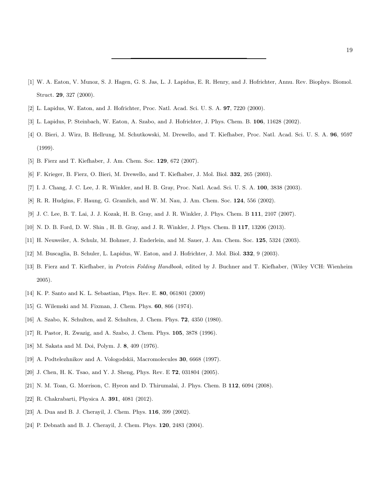- <span id="page-18-0"></span>[1] W. A. Eaton, V. Munoz, S. J. Hagen, G. S. Jas, L. J. Lapidus, E. R. Henry, and J. Hofrichter, Annu. Rev. Biophys. Biomol. Struct. 29, 327 (2000).
- <span id="page-18-4"></span><span id="page-18-1"></span>[2] L. Lapidus, W. Eaton, and J. Hofrichter, Proc. Natl. Acad. Sci. U. S. A. 97, 7220 (2000).
- [3] L. Lapidus, P. Steinbach, W. Eaton, A. Szabo, and J. Hofrichter, J. Phys. Chem. B. 106, 11628 (2002).
- [4] O. Bieri, J. Wirz, B. Hellrung, M. Schutkowski, M. Drewello, and T. Kiefhaber, Proc. Natl. Acad. Sci. U. S. A. 96, 9597 (1999).
- <span id="page-18-6"></span>[5] B. Fierz and T. Kiefhaber, J. Am. Chem. Soc. 129, 672 (2007).
- [6] F. Krieger, B. Fierz, O. Bieri, M. Drewello, and T. Kiefhaber, J. Mol. Biol. 332, 265 (2003).
- <span id="page-18-3"></span>[7] I. J. Chang, J. C. Lee, J. R. Winkler, and H. B. Gray, Proc. Natl. Acad. Sci. U. S. A. 100, 3838 (2003).
- [8] R. R. Hudgins, F. Haung, G. Gramlich, and W. M. Nau, J. Am. Chem. Soc. 124, 556 (2002).
- [9] J. C. Lee, B. T. Lai, J. J. Kozak, H. B. Gray, and J. R. Winkler, J. Phys. Chem. B 111, 2107 (2007).
- <span id="page-18-2"></span>[10] N. D. B. Ford, D. W. Shin , H. B. Gray, and J. R. Winkler, J. Phys. Chem. B 117, 13206 (2013).
- <span id="page-18-5"></span>[11] H. Neuweiler, A. Schulz, M. Bohmer, J. Enderlein, and M. Sauer, J. Am. Chem. Soc. 125, 5324 (2003).
- <span id="page-18-7"></span>[12] M. Buscaglia, B. Schuler, L. Lapidus, W. Eaton, and J. Hofrichter, J. Mol. Biol. 332, 9 (2003).
- [13] B. Fierz and T. Kiefhaber, in Protein Folding Handbook, edited by J. Buchner and T. Kiefhaber, (Wiley VCH: Wienheim 2005).
- <span id="page-18-9"></span><span id="page-18-8"></span>[14] K. P. Santo and K. L. Sebastian, Phys. Rev. E. 80, 061801 (2009)
- <span id="page-18-10"></span>[15] G. Wilemski and M. Fixman, J. Chem. Phys. 60, 866 (1974).
- <span id="page-18-11"></span>[16] A. Szabo, K. Schulten, and Z. Schulten, J. Chem. Phys. 72, 4350 (1980).
- [17] R. Pastor, R. Zwazig, and A. Szabo, J. Chem. Phys. 105, 3878 (1996).
- [18] M. Sakata and M. Doi, Polym. J. 8, 409 (1976).
- <span id="page-18-12"></span>[19] A. Podtelezhnikov and A. Vologodskii, Macromolecules 30, 6668 (1997).
- [20] J. Chen, H. K. Tsao, and Y. J. Sheng, Phys. Rev. E 72, 031804 (2005).
- <span id="page-18-13"></span>[21] N. M. Toan, G. Morrison, C. Hyeon and D. Thirumalai, J. Phys. Chem. B 112, 6094 (2008).
- <span id="page-18-14"></span>[22] R. Chakrabarti, Physica A. 391, 4081 (2012).
- <span id="page-18-15"></span>[23] A. Dua and B. J. Cherayil, J. Chem. Phys. **116**, 399 (2002).
- <span id="page-18-16"></span>[24] P. Debnath and B. J. Cherayil, J. Chem. Phys. **120**, 2483 (2004).